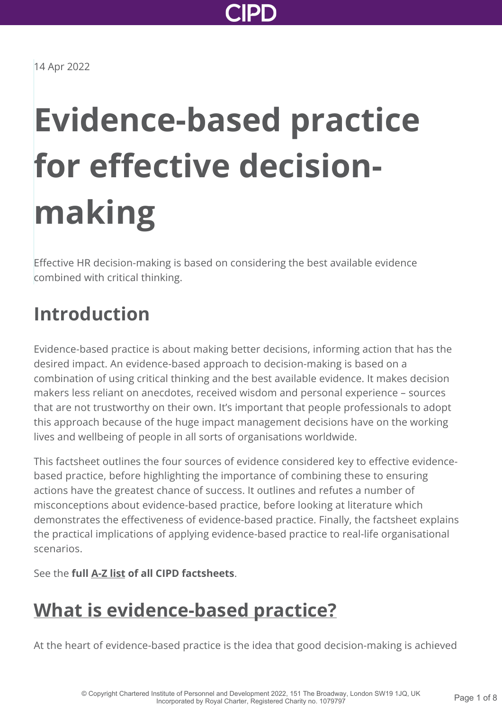

14 Apr 2022

# **Evidence-based practice for effective decisionmaking**

Effective HR decision-making is based on considering the best available evidence combined with critical thinking.

### **Introduction**

Evidence-based practice is about making better decisions, informing action that has the desired impact. An evidence-based approach to decision-making is based on a combination of using critical thinking and the best available evidence. It makes decision makers less reliant on anecdotes, received wisdom and personal experience – sources that are not trustworthy on their own. It's important that people professionals to adopt this approach because of the huge impact management decisions have on the working lives and wellbeing of people in all sorts of organisations worldwide.

This factsheet outlines the four sources of evidence considered key to effective evidencebased practice, before highlighting the importance of combining these to ensuring actions have the greatest chance of success. It outlines and refutes a number of misconceptions about evidence-based practice, before looking at literature which demonstrates the effectiveness of evidence-based practice. Finally, the factsheet explains the practical implications of applying evidence-based practice to real-life organisational scenarios.

See the **full [A-Z list](http://www.cipd.co.uk/knowledge/practical-guidance-a-z/factsheets/) of all CIPD factsheets**.

### **[What is evidence-based practice?](http://www.cipd.co.uk/knowledge/strategy/analytics/evidence-based-practice-factsheet?pdf=true#)**

At the heart of evidence-based practice is the idea that good decision-making is achieved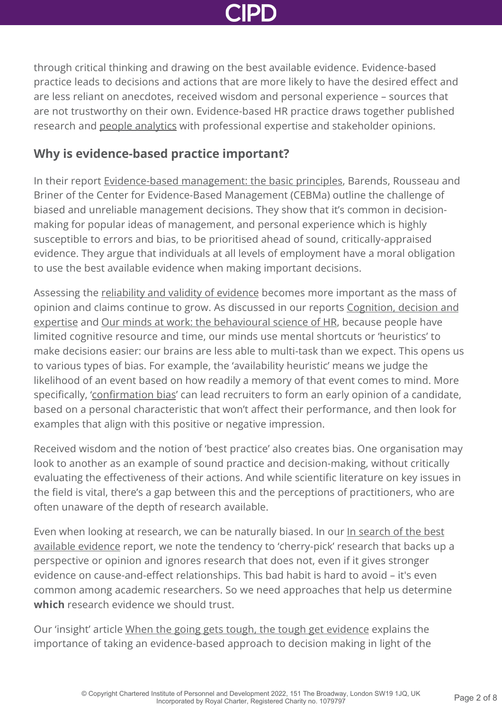

through critical thinking and drawing on the best available evidence. Evidence-based practice leads to decisions and actions that are more likely to have the desired effect and are less reliant on anecdotes, received wisdom and personal experience – sources that are not trustworthy on their own. Evidence-based HR practice draws together published research and [people analytics](http://www.cipd.co.uk/knowledge/strategy/analytics/factsheet/) with professional expertise and stakeholder opinions.

#### **Why is evidence-based practice important?**

In their report [Evidence-based management: the basic principles](https://www.cebma.org/wp-content/uploads/Evidence-Based-Practice-The-Basic-Principles.pdf), Barends, Rousseau and Briner of the Center for Evidence-Based Management (CEBMa) outline the challenge of biased and unreliable management decisions. They show that it's common in decisionmaking for popular ideas of management, and personal experience which is highly susceptible to errors and bias, to be prioritised ahead of sound, critically-appraised evidence. They argue that individuals at all levels of employment have a moral obligation to use the best available evidence when making important decisions.

Assessing the [reliability and validity of evidence](http://www.cipd.co.uk/knowledge/strategy/analytics/evidence-based-decision-making/) becomes more important as the mass of [opinion and claims continue to grow. As discussed in our reports Cognition, decision and](http://www.cipd.co.uk/Images/cognition-decision-and-expertise_2014-part-2-of-3-fresh-thinking_tcm18-15115.pdf) expertise and [Our minds at work: the behavioural science of HR](http://www.cipd.co.uk/knowledge/culture/behaviour/hr-report/), because people have limited cognitive resource and time, our minds use mental shortcuts or 'heuristics' to make decisions easier: our brains are less able to multi-task than we expect. This opens us to various types of bias. For example, the 'availability heuristic' means we judge the likelihood of an event based on how readily a memory of that event comes to mind. More specifically, '[confirmation bias'](http://www.cipd.co.uk/knowledge/culture/behaviour/recruitment-report/) can lead recruiters to form an early opinion of a candidate, based on a personal characteristic that won't affect their performance, and then look for examples that align with this positive or negative impression.

Received wisdom and the notion of 'best practice' also creates bias. One organisation may look to another as an example of sound practice and decision-making, without critically evaluating the effectiveness of their actions. And while scientific literature on key issues in the field is vital, there's a gap between this and the perceptions of practitioners, who are often unaware of the depth of research available.

Even when looking at research, we can be naturally biased. In our In search of the best [available evidence report, we note the tendency to 'cherry-pick' research that backs up](http://www.cipd.co.uk/knowledge/strategy/analytics/evidence-based-decision-making/) a perspective or opinion and ignores research that does not, even if it gives stronger evidence on cause-and-effect relationships. This bad habit is hard to avoid – it's even common among academic researchers. So we need approaches that help us determine **which** research evidence we should trust.

Our 'insight' article [When the going gets tough, the tough get evidence](https://peopleprofession.cipd.org/insights/articles/evidence) explains the importance of taking an evidence-based approach to decision making in light of the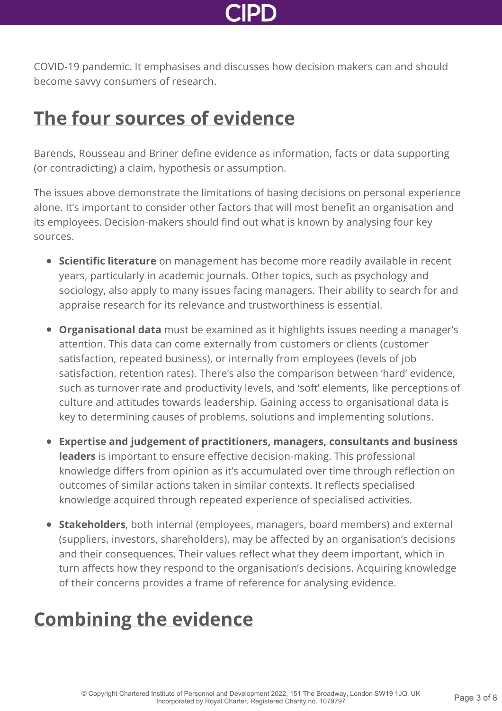

COVID-19 pandemic. It emphasises and discusses how decision makers can and should become savvy consumers of research.

#### **[The four sources of evidence](http://www.cipd.co.uk/knowledge/strategy/analytics/evidence-based-practice-factsheet?pdf=true#)**

[Barends, Rousseau and Briner](https://www.cebma.org/wp-content/uploads/Evidence-Based-Practice-The-Basic-Principles.pdf) define evidence as information, facts or data supporting (or contradicting) a claim, hypothesis or assumption.

The issues above demonstrate the limitations of basing decisions on personal experience alone. It's important to consider other factors that will most benefit an organisation and its employees. Decision-makers should find out what is known by analysing four key sources.

- **Scientific literature** on management has become more readily available in recent years, particularly in academic journals. Other topics, such as psychology and sociology, also apply to many issues facing managers. Their ability to search for and appraise research for its relevance and trustworthiness is essential.
- **Organisational data** must be examined as it highlights issues needing a manager's attention. This data can come externally from customers or clients (customer satisfaction, repeated business), or internally from employees (levels of job satisfaction, retention rates). There's also the comparison between 'hard' evidence, such as turnover rate and productivity levels, and 'soft' elements, like perceptions of culture and attitudes towards leadership. Gaining access to organisational data is key to determining causes of problems, solutions and implementing solutions.
- **Expertise and judgement of practitioners, managers, consultants and business leaders** is important to ensure effective decision-making. This professional knowledge differs from opinion as it's accumulated over time through reflection on outcomes of similar actions taken in similar contexts. It reflects specialised knowledge acquired through repeated experience of specialised activities.
- **Stakeholders**, both internal (employees, managers, board members) and external (suppliers, investors, shareholders), may be affected by an organisation's decisions and their consequences. Their values reflect what they deem important, which in turn affects how they respond to the organisation's decisions. Acquiring knowledge of their concerns provides a frame of reference for analysing evidence.

### **[Combining the evidence](http://www.cipd.co.uk/knowledge/strategy/analytics/evidence-based-practice-factsheet?pdf=true#)**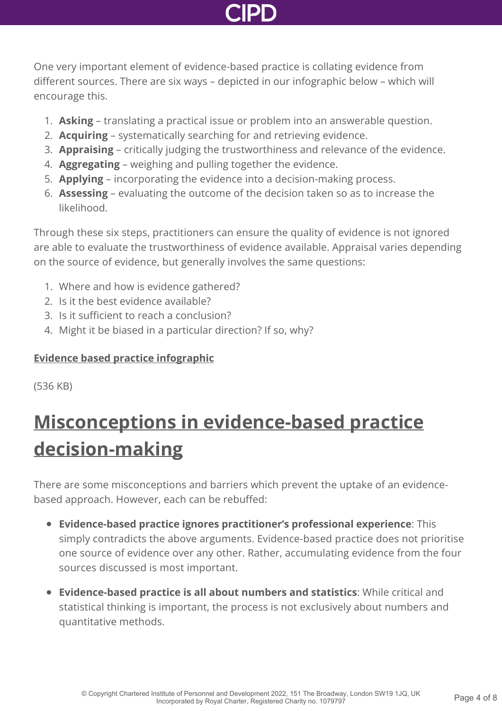One very important element of evidence-based practice is collating evidence from different sources. There are six ways – depicted in our infographic below – which will encourage this.

- 1. **Asking** translating a practical issue or problem into an answerable question.
- 2. **Acquiring** systematically searching for and retrieving evidence.
- 3. **Appraising** critically judging the trustworthiness and relevance of the evidence.
- 4. **Aggregating** weighing and pulling together the evidence.
- 5. **Applying** incorporating the evidence into a decision-making process.
- 6. **Assessing** evaluating the outcome of the decision taken so as to increase the likelihood.

Through these six steps, practitioners can ensure the quality of evidence is not ignored are able to evaluate the trustworthiness of evidence available. Appraisal varies depending on the source of evidence, but generally involves the same questions:

- 1. Where and how is evidence gathered?
- 2. Is it the best evidence available?
- 3. Is it sufficient to reach a conclusion?
- 4. Might it be biased in a particular direction? If so, why?

#### **[Evidence based practice infographic](http://www.cipd.co.uk/Images/EBHR-infographic-v.2_tcm18-54304.pdf)**

(536 KB)

## **[Misconceptions in evidence-based practice](http://www.cipd.co.uk/knowledge/strategy/analytics/evidence-based-practice-factsheet?pdf=true#) decision-making**

There are some misconceptions and barriers which prevent the uptake of an evidencebased approach. However, each can be rebuffed:

- **Evidence-based practice ignores practitioner's professional experience**: This simply contradicts the above arguments. Evidence-based practice does not prioritise one source of evidence over any other. Rather, accumulating evidence from the four sources discussed is most important.
- **Evidence-based practice is all about numbers and statistics**: While critical and statistical thinking is important, the process is not exclusively about numbers and quantitative methods.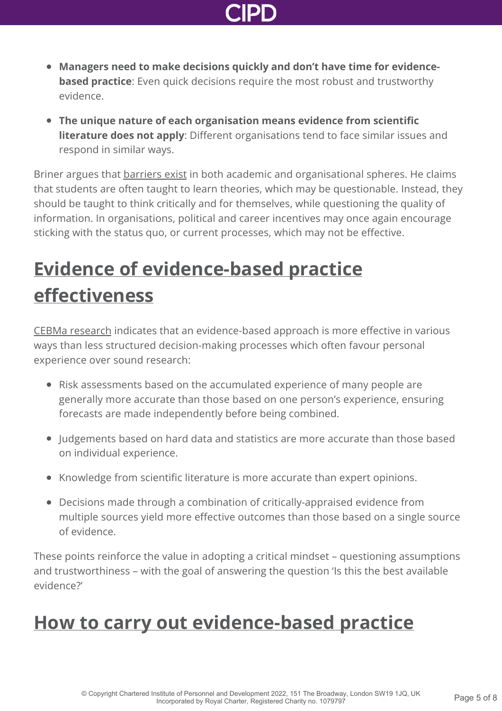

- **Managers need to make decisions quickly and don't have time for evidencebased practice**: Even quick decisions require the most robust and trustworthy evidence.
- **The unique nature of each organisation means evidence from scientific literature does not apply**: Different organisations tend to face similar issues and respond in similar ways.

Briner argues that [barriers exist](https://scienceforwork.com/blog/rob-briner-cebma/) in both academic and organisational spheres. He claims that students are often taught to learn theories, which may be questionable. Instead, they should be taught to think critically and for themselves, while questioning the quality of information. In organisations, political and career incentives may once again encourage sticking with the status quo, or current processes, which may not be effective.

### **[Evidence of evidence-based practice](http://www.cipd.co.uk/knowledge/strategy/analytics/evidence-based-practice-factsheet?pdf=true#) effectiveness**

[CEBMa research](https://www.cebma.org/wp-content/uploads/Evidence-Based-Practice-The-Basic-Principles.pdf) indicates that an evidence-based approach is more effective in various ways than less structured decision-making processes which often favour personal experience over sound research:

- Risk assessments based on the accumulated experience of many people are generally more accurate than those based on one person's experience, ensuring forecasts are made independently before being combined.
- Judgements based on hard data and statistics are more accurate than those based on individual experience.
- Knowledge from scientific literature is more accurate than expert opinions.
- Decisions made through a combination of critically-appraised evidence from multiple sources yield more effective outcomes than those based on a single source of evidence.

These points reinforce the value in adopting a critical mindset – questioning assumptions and trustworthiness – with the goal of answering the question 'Is this the best available evidence?'

#### **[How to carry out evidence-based practice](http://www.cipd.co.uk/knowledge/strategy/analytics/evidence-based-practice-factsheet?pdf=true#)**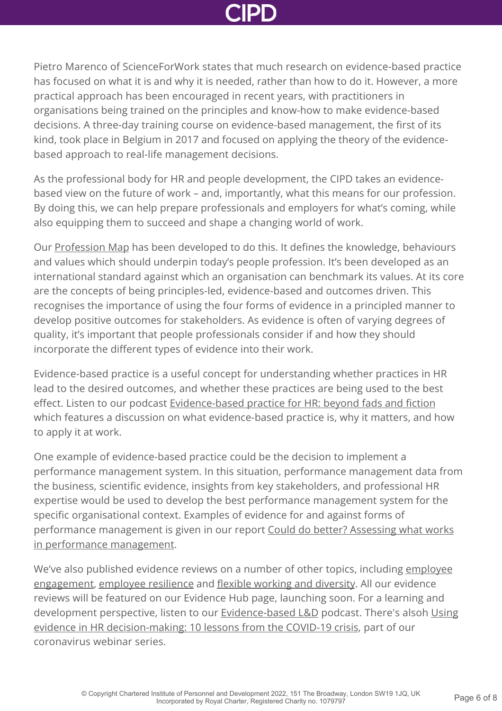

Pietro Marenco of ScienceForWork states that much research on evidence-based practice has focused on what it is and why it is needed, rather than how to do it. However, a more practical approach has been encouraged in recent years, with practitioners in organisations being trained on the principles and know-how to make evidence-based decisions. A three-day training course on evidence-based management, the first of its kind, took place in Belgium in 2017 and focused on applying the theory of the evidencebased approach to real-life management decisions.

As the professional body for HR and people development, the CIPD takes an evidencebased view on the future of work – and, importantly, what this means for our profession. By doing this, we can help prepare professionals and employers for what's coming, while also equipping them to succeed and shape a changing world of work.

Our [Profession Map](https://peopleprofession.cipd.org/profession-map) has been developed to do this. It defines the knowledge, behaviours and values which should underpin today's people profession. It's been developed as an international standard against which an organisation can benchmark its values. At its core are the concepts of being principles-led, evidence-based and outcomes driven. This recognises the importance of using the four forms of evidence in a principled manner to develop positive outcomes for stakeholders. As evidence is often of varying degrees of quality, it's important that people professionals consider if and how they should incorporate the different types of evidence into their work.

Evidence-based practice is a useful concept for understanding whether practices in HR lead to the desired outcomes, and whether these practices are being used to the best effect. Listen to our podcast [Evidence-based practice for HR: beyond fads and fiction](http://www.cipd.co.uk/podcasts/evidence-based-hr/) which features a discussion on what evidence-based practice is, why it matters, and how to apply it at work.

One example of evidence-based practice could be the decision to implement a performance management system. In this situation, performance management data from the business, scientific evidence, insights from key stakeholders, and professional HR expertise would be used to develop the best performance management system for the specific organisational context. Examples of evidence for and against forms of [performance management is given in our report Could do better? Assessing what works](http://www.cipd.co.uk/knowledge/fundamentals/people/performance/what-works-in-performance-management-report/) in performance management.

[We've also published evidence reviews on a number of other topics, including employee](http://www.cipd.co.uk/knowledge/fundamentals/relations/engagement/evidence-engagement/) engagement, [employee resilience](http://www.cipd.co.uk/knowledge/culture/well-being/evidence-resilience/) and [flexible working and diversity](http://www.cipd.co.uk/knowledge/fundamentals/relations/diversity/flexible-working-teleworking-diversity/). All our evidence reviews will be featured on our Evidence Hub page, launching soon. For a learning and [development perspective, listen to our](http://www.cipd.co.uk/knowledge/coronavirus/webinars/using-evidence-HR-decision-making-17-june-2020/) [Evidence-based L&D](http://www.cipd.co.uk/podcasts/ld-why-does-evidence-matter/) [podcast. There's alsoh Using](http://www.cipd.co.uk/knowledge/coronavirus/webinars/using-evidence-HR-decision-making-17-june-2020/) evidence in HR decision-making: 10 lessons from the COVID-19 crisis, part of our coronavirus webinar series.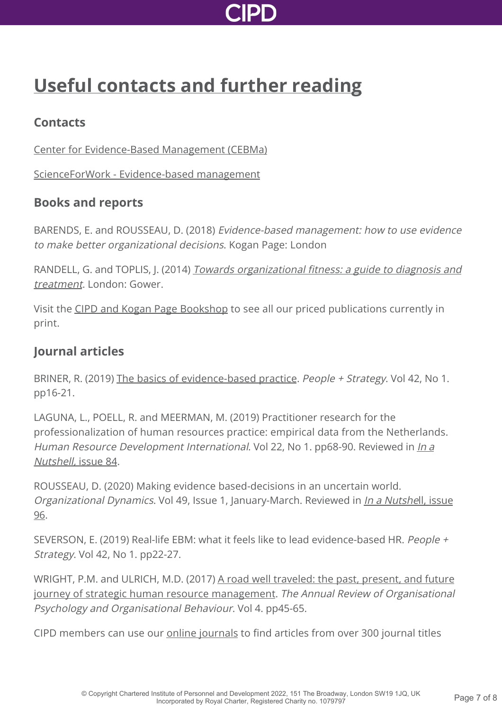

### **[Useful contacts and further reading](http://www.cipd.co.uk/knowledge/strategy/analytics/evidence-based-practice-factsheet?pdf=true#)**

#### **Contacts**

[Center for Evidence-Based Management \(CEBMa\)](https://www.cebma.org/)

[ScienceForWork - Evidence-based management](https://scienceforwork.com/blog/category/evidence-based-management/)

#### **Books and reports**

BARENDS, E. and ROUSSEAU, D. (2018) Evidence-based management: how to use evidence to make better organizational decisions. Kogan Page: London

RANDELL, G. and TOPLIS, J. (2014) [Towards organizational fitness: a guide to diagnosis and](https://books.google.co.uk/books/about/Towards_Organizational_Fitness.html?id=35XbAwAAQBAJ&source=kp_book_description&redir_esc=y) treatment. London: Gower.

Visit the [CIPD and Kogan Page Bookshop](http://www.cipd.co.uk/learn/bookshop) to see all our priced publications currently in print.

#### **Journal articles**

BRINER, R. (2019) [The basics of evidence-based practice](https://www.cebma.org/wp-content/uploads/Briner-The-Basics-of-Evidence-Based-Practice.pdf). People + Strategy. Vol 42, No 1. pp16-21.

LAGUNA, L., POELL, R. and MEERMAN, M. (2019) Practitioner research for the professionalization of human resources practice: empirical data from the Netherlands. [Human Resource](http://www.cipd.co.uk/news-views/nutshell/issue-84/) Development International. Vol 22, No 1. pp68-90. Reviewed in *In a* Nutshell, issue 84.

ROUSSEAU, D. (2020) Making evidence based-decisions in an uncertain world. Organizational Dynamics. Vol 49, Issue 1, January-March. Reviewed in *[In a Nutshe](http://www.cipd.co.uk/news-views/nutshell/issue-96/)ll,* issue 96.

SEVERSON, E. (2019) Real-life EBM: what it feels like to lead evidence-based HR. People + Strategy. Vol 42, No 1. pp22-27.

[WRIGHT, P.M. and ULRICH, M.D. \(2017\) A road well traveled: the past, present, and future](https://www.cebma.org/wp-content/uploads/Wright-Ulrich-A-Road-Well-Travelled.pdf) journey of strategic human resource management. The Annual Review of Organisational Psychology and Organisational Behaviour. Vol 4. pp45-65.

CIPD members can use our **[online journals](http://www.cipd.co.uk/knowledge/journals/)** to find articles from over 300 journal titles